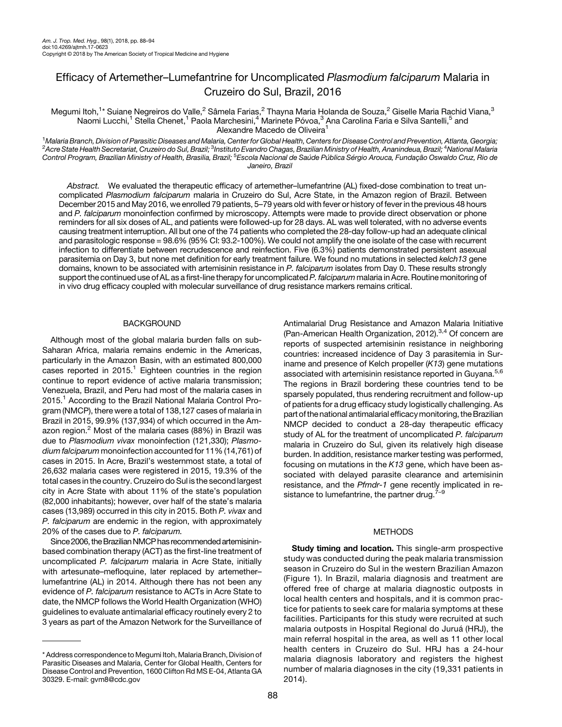# Efficacy of Artemether–Lumefantrine for Uncomplicated Plasmodium falciparum Malaria in Cruzeiro do Sul, Brazil, 2016

Megumi Itoh,<sup>1</sup>\* Suiane Negreiros do Valle,<sup>2</sup> Sâmela Farias,<sup>2</sup> Thayna Maria Holanda de Souza,<sup>2</sup> Giselle Maria Rachid Viana,<sup>3</sup> Naomi Lucchi,<sup>1</sup> Stella Chenet,<sup>1</sup> Paola Marchesini,<sup>4</sup> Marinete Póvoa,<sup>3</sup> Ana Carolina Faria e Silva Santelli,<sup>5</sup> and Alexandre Macedo de Oliveira<sup>1</sup>

<sup>1</sup>Malaria Branch, Division of Parasitic Diseases and Malaria, Center for Global Health, Centers for Disease Control and Prevention, Atlanta, Georgia; <sup>1</sup>Malaria Branch, Division of Parasitic Diseases and Malaria, Center for Global Health, Centers for Disease Control and Prevention, Atlanta, Georgia;<br><sup>2</sup>Acre State Health Secretariat, Cruzeiro do Sul, Brazil; <sup>3</sup>Instituto Control Program, Brazilian Ministry of Health, Brasilia, Brazil; <sup>5</sup>Escola Nacional de Saúde Pública Sérgio Arouca, Fundação Oswaldo Cruz, Rio de Janeiro, Brazil

Abstract. We evaluated the therapeutic efficacy of artemether–lumefantrine (AL) fixed-dose combination to treat uncomplicated Plasmodium falciparum malaria in Cruzeiro do Sul, Acre State, in the Amazon region of Brazil. Between December 2015 and May 2016, we enrolled 79 patients, 5–79 years old with fever or history of fever in the previous 48 hours and P. falciparum monoinfection confirmed by microscopy. Attempts were made to provide direct observation or phone reminders for all six doses of AL, and patients were followed-up for 28 days. AL was well tolerated, with no adverse events causing treatment interruption. All but one of the 74 patients who completed the 28-day follow-up had an adequate clinical and parasitologic response = 98.6% (95% CI: 93.2-100%). We could not amplify the one isolate of the case with recurrent infection to differentiate between recrudescence and reinfection. Five (6.3%) patients demonstrated persistent asexual parasitemia on Day 3, but none met definition for early treatment failure. We found no mutations in selected kelch13 gene domains, known to be associated with artemisinin resistance in P. falciparum isolates from Day 0. These results strongly support the continued use of AL as a first-line therapy for uncomplicated P. falciparum malaria in Acre. Routine monitoring of in vivo drug efficacy coupled with molecular surveillance of drug resistance markers remains critical.

# **BACKGROUND**

Although most of the global malaria burden falls on sub-Saharan Africa, malaria remains endemic in the Americas, particularly in the Amazon Basin, with an estimated 800,000 cases reported in  $2015$  $2015$  $2015$ .<sup>1</sup> Eighteen countries in the region continue to report evidence of active malaria transmission; Venezuela, Brazil, and Peru had most of the malaria cases in 20[1](#page-5-0)5.<sup>1</sup> According to the Brazil National Malaria Control Program (NMCP), there were a total of 138,127 cases of malaria in Brazil in 2015, 99.9% (137,934) of which occurred in the Am-azon region.<sup>[2](#page-5-0)</sup> Most of the malaria cases (88%) in Brazil was due to Plasmodium vivax monoinfection (121,330); Plasmodium falciparum monoinfection accounted for 11% (14,761) of cases in 2015. In Acre, Brazil's westernmost state, a total of 26,632 malaria cases were registered in 2015, 19.3% of the total cases in the country. Cruzeiro do Sul is the second largest city in Acre State with about 11% of the state's population (82,000 inhabitants); however, over half of the state's malaria cases (13,989) occurred in this city in 2015. Both P. vivax and P. falciparum are endemic in the region, with approximately 20% of the cases due to P. falciparum.

Since 2006, the Brazilian NMCP has recommended artemisininbased combination therapy (ACT) as the first-line treatment of uncomplicated P. falciparum malaria in Acre State, initially with artesunate–mefloquine, later replaced by artemether– lumefantrine (AL) in 2014. Although there has not been any evidence of P. falciparum resistance to ACTs in Acre State to date, the NMCP follows the World Health Organization (WHO) guidelines to evaluate antimalarial efficacy routinely every 2 to 3 years as part of the Amazon Network for the Surveillance of

Antimalarial Drug Resistance and Amazon Malaria Initiative (Pan-American Health Organization, 2012).<sup>[3,4](#page-5-0)</sup> Of concern are reports of suspected artemisinin resistance in neighboring countries: increased incidence of Day 3 parasitemia in Suriname and presence of Kelch propeller  $(K13)$  gene mutations associated with artemisinin resistance reported in Guyana.<sup>[5,6](#page-5-0)</sup> The regions in Brazil bordering these countries tend to be sparsely populated, thus rendering recruitment and follow-up of patients for a drug efficacy study logistically challenging. As part of the national antimalarial efficacy monitoring, the Brazilian NMCP decided to conduct a 28-day therapeutic efficacy study of AL for the treatment of uncomplicated P. falciparum malaria in Cruzeiro do Sul, given its relatively high disease burden. In addition, resistance marker testing was performed, focusing on mutations in the  $K13$  gene, which have been associated with delayed parasite clearance and artemisinin resistance, and the Pfmdr-1 gene recently implicated in resistance to lumefantrine, the partner drug. $7-9$  $7-9$  $7-9$ 

# METHODS

Study timing and location. This single-arm prospective study was conducted during the peak malaria transmission season in Cruzeiro do Sul in the western Brazilian Amazon ([Figure 1](#page-1-0)). In Brazil, malaria diagnosis and treatment are offered free of charge at malaria diagnostic outposts in local health centers and hospitals, and it is common practice for patients to seek care for malaria symptoms at these facilities. Participants for this study were recruited at such malaria outposts in Hospital Regional do Juruá (HRJ), the main referral hospital in the area, as well as 11 other local health centers in Cruzeiro do Sul. HRJ has a 24-hour malaria diagnosis laboratory and registers the highest number of malaria diagnoses in the city (19,331 patients in 2014).

<sup>\*</sup> Address correspondence to Megumi Itoh, Malaria Branch, Division of Parasitic Diseases and Malaria, Center for Global Health, Centers for Disease Control and Prevention, 1600 Clifton Rd MS E-04, Atlanta GA 30329. E-mail: [gvm8@cdc.gov](mailto:gvm8@cdc.gov)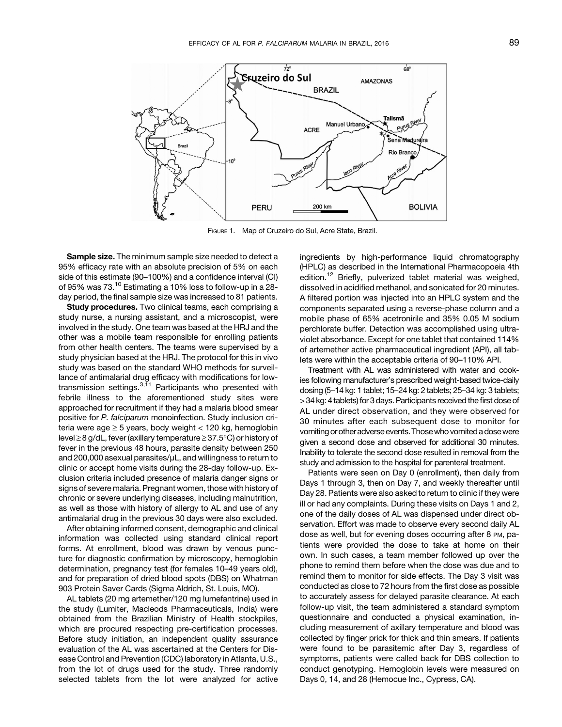<span id="page-1-0"></span>

FIGURE 1. Map of Cruzeiro do Sul, Acre State, Brazil.

Sample size. The minimum sample size needed to detect a 95% efficacy rate with an absolute precision of 5% on each side of this estimate (90–100%) and a confidence interval (CI) of 95% was 73.[10](#page-5-0) Estimating a 10% loss to follow-up in a 28 day period, the final sample size was increased to 81 patients.

Study procedures. Two clinical teams, each comprising a study nurse, a nursing assistant, and a microscopist, were involved in the study. One team was based at the HRJ and the other was a mobile team responsible for enrolling patients from other health centers. The teams were supervised by a study physician based at the HRJ. The protocol for this in vivo study was based on the standard WHO methods for surveillance of antimalarial drug efficacy with modifications for lowtransmission settings. $3,11$  $3,11$  $3,11$  Participants who presented with febrile illness to the aforementioned study sites were approached for recruitment if they had a malaria blood smear positive for P. falciparum monoinfection. Study inclusion criteria were age  $\geq$  5 years, body weight < 120 kg, hemoglobin level  $\geq$  8 g/dL, fever (axillary temperature  $\geq$  37.5°C) or history of fever in the previous 48 hours, parasite density between 250 and 200,000 asexual parasites/μL, and willingness to return to clinic or accept home visits during the 28-day follow-up. Exclusion criteria included presence of malaria danger signs or signs of severe malaria. Pregnant women, those with history of chronic or severe underlying diseases, including malnutrition, as well as those with history of allergy to AL and use of any antimalarial drug in the previous 30 days were also excluded.

After obtaining informed consent, demographic and clinical information was collected using standard clinical report forms. At enrollment, blood was drawn by venous puncture for diagnostic confirmation by microscopy, hemoglobin determination, pregnancy test (for females 10–49 years old), and for preparation of dried blood spots (DBS) on Whatman 903 Protein Saver Cards (Sigma Aldrich, St. Louis, MO).

AL tablets (20 mg artemether/120 mg lumefantrine) used in the study (Lumiter, Macleods Pharmaceuticals, India) were obtained from the Brazilian Ministry of Health stockpiles, which are procured respecting pre-certification processes. Before study initiation, an independent quality assurance evaluation of the AL was ascertained at the Centers for Disease Control and Prevention (CDC) laboratory in Atlanta, U.S., from the lot of drugs used for the study. Three randomly selected tablets from the lot were analyzed for active ingredients by high-performance liquid chromatography (HPLC) as described in the International Pharmacopoeia 4th edition.<sup>[12](#page-6-0)</sup> Briefly, pulverized tablet material was weighed, dissolved in acidified methanol, and sonicated for 20 minutes. A filtered portion was injected into an HPLC system and the components separated using a reverse-phase column and a mobile phase of 65% acetronirile and 35% 0.05 M sodium perchlorate buffer. Detection was accomplished using ultraviolet absorbance. Except for one tablet that contained 114% of artemether active pharmaceutical ingredient (API), all tablets were within the acceptable criteria of 90–110% API.

Treatment with AL was administered with water and cookies following manufacturer's prescribed weight-based twice-daily dosing (5–14 kg: 1 tablet; 15–24 kg: 2 tablets; 25–34 kg: 3 tablets; > 34 kg: 4 tablets) for 3 days. Participants received the first dose of AL under direct observation, and they were observed for 30 minutes after each subsequent dose to monitor for vomiting or other adverse events. Thosewho vomited a dosewere given a second dose and observed for additional 30 minutes. Inability to tolerate the second dose resulted in removal from the study and admission to the hospital for parenteral treatment.

Patients were seen on Day 0 (enrollment), then daily from Days 1 through 3, then on Day 7, and weekly thereafter until Day 28. Patients were also asked to return to clinic if they were ill or had any complaints. During these visits on Days 1 and 2, one of the daily doses of AL was dispensed under direct observation. Effort was made to observe every second daily AL dose as well, but for evening doses occurring after 8 PM, patients were provided the dose to take at home on their own. In such cases, a team member followed up over the phone to remind them before when the dose was due and to remind them to monitor for side effects. The Day 3 visit was conducted as close to 72 hours from the first dose as possible to accurately assess for delayed parasite clearance. At each follow-up visit, the team administered a standard symptom questionnaire and conducted a physical examination, including measurement of axillary temperature and blood was collected by finger prick for thick and thin smears. If patients were found to be parasitemic after Day 3, regardless of symptoms, patients were called back for DBS collection to conduct genotyping. Hemoglobin levels were measured on Days 0, 14, and 28 (Hemocue Inc., Cypress, CA).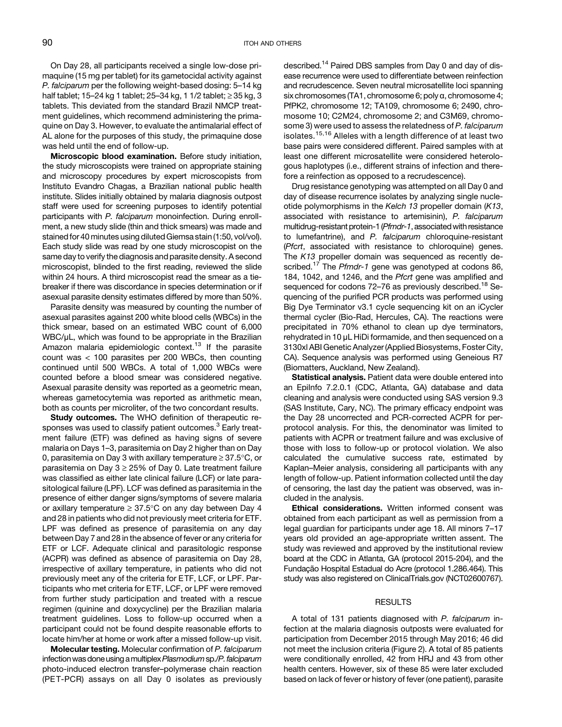On Day 28, all participants received a single low-dose primaquine (15 mg per tablet) for its gametocidal activity against P. falciparum per the following weight-based dosing: 5–14 kg half tablet; 15–24 kg 1 tablet; 25–34 kg, 1 1/2 tablet;  $\ge$  35 kg, 3 tablets. This deviated from the standard Brazil NMCP treatment guidelines, which recommend administering the primaquine on Day 3. However, to evaluate the antimalarial effect of AL alone for the purposes of this study, the primaquine dose was held until the end of follow-up.

Microscopic blood examination. Before study initiation, the study microscopists were trained on appropriate staining and microscopy procedures by expert microscopists from Instituto Evandro Chagas, a Brazilian national public health institute. Slides initially obtained by malaria diagnosis outpost staff were used for screening purposes to identify potential participants with P. falciparum monoinfection. During enrollment, a new study slide (thin and thick smears) was made and stained for 40 minutes using diluted Giemsa stain (1:50, vol/vol). Each study slide was read by one study microscopist on the same day to verify the diagnosis and parasite density. A second microscopist, blinded to the first reading, reviewed the slide within 24 hours. A third microscopist read the smear as a tiebreaker if there was discordance in species determination or if asexual parasite density estimates differed by more than 50%.

Parasite density was measured by counting the number of asexual parasites against 200 white blood cells (WBCs) in the thick smear, based on an estimated WBC count of 6,000 WBC/µL, which was found to be appropriate in the Brazilian Amazon malaria epidemiologic context.<sup>[13](#page-6-0)</sup> If the parasite count was < 100 parasites per 200 WBCs, then counting continued until 500 WBCs. A total of 1,000 WBCs were counted before a blood smear was considered negative. Asexual parasite density was reported as a geometric mean, whereas gametocytemia was reported as arithmetic mean, both as counts per microliter, of the two concordant results.

Study outcomes. The WHO definition of therapeutic re-sponses was used to classify patient outcomes.<sup>[3](#page-5-0)</sup> Early treatment failure (ETF) was defined as having signs of severe malaria on Days 1–3, parasitemia on Day 2 higher than on Day 0, parasitemia on Day 3 with axillary temperature  $\geq$  37.5°C, or parasitemia on Day  $3 \ge 25\%$  of Day 0. Late treatment failure was classified as either late clinical failure (LCF) or late parasitological failure (LPF). LCF was defined as parasitemia in the presence of either danger signs/symptoms of severe malaria or axillary temperature  $\geq 37.5^{\circ}$ C on any day between Day 4 and 28 in patients who did not previously meet criteria for ETF. LPF was defined as presence of parasitemia on any day between Day 7 and 28 in the absence of fever or any criteria for ETF or LCF. Adequate clinical and parasitologic response (ACPR) was defined as absence of parasitemia on Day 28, irrespective of axillary temperature, in patients who did not previously meet any of the criteria for E TF, LCF, or LPF. Participants who met criteria for ETF, LCF, or LPF were removed from further study participation and treated with a rescue regimen (quinine and doxycycline) per the Brazilian malaria treatment guidelines. Loss to follow-up occurred when a participant could not be found despite reasonable efforts to locate him/her at home or work after a missed follow-up visit.

Molecular testing. Molecular confirmation of P. falciparum infection was done using a multiplex Plasmodium sp./P. falciparum photo-induced electron transfer–polymerase chain reaction (PE T-PCR) assays on all Day 0 isolates as previously described[.14](#page-6-0) Paired DBS samples from Day 0 and day of disease recurrence were used to differentiate between reinfection and recrudescence. Seven neutral microsatellite loci spanning six chromosomes (TA1, chromosome 6; poly α, chromosome 4; PfPK2, chromosome 12; TA109, chromosome 6; 2490, chromosome 10; C2M24, chromosome 2; and C3M69, chromosome 3) were used to assess the relatedness of P. falciparum isolates.<sup>[15,16](#page-6-0)</sup> Alleles with a length difference of at least two base pairs were considered different. Paired samples with at least one different microsatellite were considered heterologous haplotypes (i.e., different strains of infection and therefore a reinfection as opposed to a recrudescence).

Drug resistance genotyping was attempted on all Day 0 and day of disease recurrence isolates by analyzing single nucleotide polymorphisms in the Kelch 13 propeller domain (K13, associated with resistance to artemisinin), P. falciparum multidrug-resistant protein-1(Pfmdr-1, associated with resistance to lumefantrine), and P. falciparum chloroquine-resistant (Pfcrt, associated with resistance to chloroquine) genes. The K13 propeller domain was sequenced as recently de-scribed.<sup>[17](#page-6-0)</sup> The Pfmdr-1 gene was genotyped at codons 86, 184, 1042, and 1246, and the Pfcrt gene was amplified and sequenced for codons 72-76 as previously described.<sup>[18](#page-6-0)</sup> Sequencing of the purified PCR products was performed using Big Dye Terminator v3.1 cycle sequencing kit on an iCycler thermal cycler (Bio-Rad, Hercules, CA). The reactions were precipitated in 70% ethanol to clean up dye terminators, rehydrated in 10 μL HiDi formamide, and then sequenced on a 3130xl ABI Genetic Analyzer (Applied Biosystems, Foster City, CA). Sequence analysis was performed using Geneious R7 (Biomatters, Auckland, New Zealand).

Statistical analysis. Patient data were double entered into an EpiInfo 7.2.0.1 (CDC, Atlanta, GA) database and data cleaning and analysis were conducted using SAS version 9.3 (SAS Institute, Cary, NC). The primary efficacy endpoint was the Day 28 uncorrected and PCR-corrected ACPR for perprotocol analysis. For this, the denominator was limited to patients with ACPR or treatment failure and was exclusive of those with loss to follow-up or protocol violation. We also calculated the cumulative success rate, estimated by Kaplan–Meier analysis, considering all participants with any length of follow-up. Patient information collected until the day of censoring, the last day the patient was observed, was included in the analysis.

Ethical considerations. Written informed consent was obtained from each participant as well as permission from a legal guardian for participants under age 18. All minors 7–17 years old provided an age-appropriate written assent. The study was reviewed and approved by the institutional review board at the CDC in Atlanta, GA (protocol 2015-204), and the Fundação Hospital Estadual do Acre (protocol 1.286.464). This study was also registered on [ClinicalTrials.gov](http://ClinicalTrials.gov) (NCT02600767).

#### RESULTS

A total of 131 patients diagnosed with P. falciparum infection at the malaria diagnosis outposts were evaluated for participation from December 2015 through May 2016; 46 did not meet the inclusion criteria ([Figure 2\)](#page-3-0). A total of 85 patients were conditionally enrolled, 42 from HRJ and 43 from other health centers. However, six of these 85 were later excluded based on lack of fever or history of fever (one patient), parasite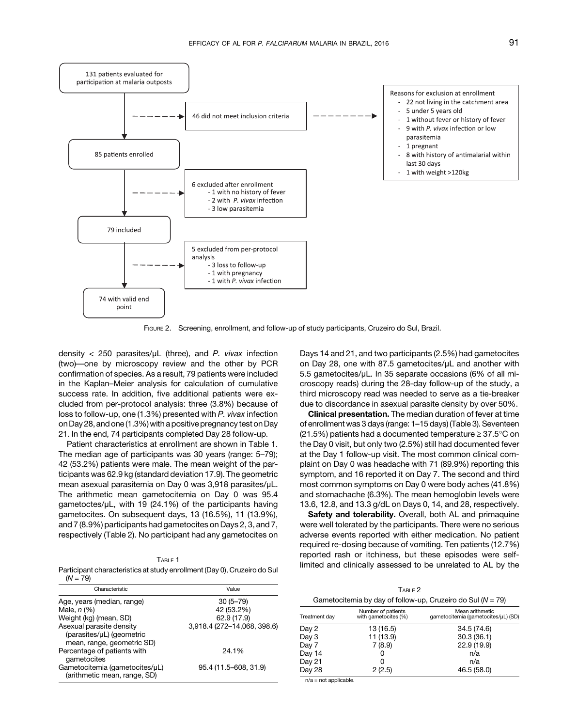<span id="page-3-0"></span>

FIGURE 2. Screening, enrollment, and follow-up of study participants, Cruzeiro do Sul, Brazil.

density  $<$  250 parasites/ $\mu$ L (three), and P. vivax infection (two)—one by microscopy review and the other by PCR confirmation of species. As a result, 79 patients were included in the Kaplan–Meier analysis for calculation of cumulative success rate. In addition, five additional patients were excluded from per-protocol analysis: three (3.8%) because of loss to follow-up, one (1.3%) presented with P. vivax infection onDay 28, and one (1.3%) with a positive pregnancy test onDay 21. In the end, 74 participants completed Day 28 follow-up.

Patient characteristics at enrollment are shown in Table 1. The median age of participants was 30 years (range: 5–79); 42 (53.2%) patients were male. The mean weight of the participants was 62.9 kg (standard deviation 17.9). The geometric mean asexual parasitemia on Day 0 was 3,918 parasites/μL. The arithmetic mean gametocitemia on Day 0 was 95.4 gametoctes/μL, with 19 (24.1%) of the participants having gametocites. On subsequent days, 13 (16.5%), 11 (13.9%), and 7 (8.9%) participants had gametocites on Days 2, 3, and 7, respectively (Table 2). No participant had any gametocites on

Participant characteristics at study enrollment (Day 0), Cruzeiro do Sul  $(N = 79)$ 

| Characteristic                                                 | Value                       |
|----------------------------------------------------------------|-----------------------------|
| Age, years (median, range)                                     | $30(5 - 79)$                |
| Male, $n$ $(\%)$                                               | 42 (53.2%)                  |
| Weight (kg) (mean, SD)                                         | 62.9 (17.9)                 |
| Asexual parasite density<br>(parasites/µL) (geometric          | 3,918.4 (272-14,068, 398.6) |
| mean, range, geometric SD)                                     |                             |
| Percentage of patients with<br>gametocites                     | 24.1%                       |
| Gametocitemia (gametocites/µL)<br>(arithmetic mean, range, SD) | 95.4 (11.5-608, 31.9)       |

Days 14 and 21, and two participants (2.5%) had gametocites on Day 28, one with 87.5 gametocites/μL and another with 5.5 gametocites/μL. In 35 separate occasions (6% of all microscopy reads) during the 28-day follow-up of the study, a third microscopy read was needed to serve as a tie-breaker due to discordance in asexual parasite density by over 50%.

Clinical presentation. The median duration of fever at time of enrollment was 3 days (range: 1–15 days) [\(Table 3](#page-4-0)). Seventeen (21.5%) patients had a documented temperature  $\geq$  37.5°C on the Day 0 visit, but only two (2.5%) still had documented fever at the Day 1 follow-up visit. The most common clinical complaint on Day 0 was headache with 71 (89.9%) reporting this symptom, and 16 reported it on Day 7. The second and third most common symptoms on Day 0 were body aches (41.8%) and stomachache (6.3%). The mean hemoglobin levels were 13.6, 12.8, and 13.3 g/dL on Days 0, 14, and 28, respectively.

Safety and tolerability. Overall, both AL and primaquine were well tolerated by the participants. There were no serious adverse events reported with either medication. No patient required re-dosing because of vomiting. Ten patients (12.7%) reported rash or itchiness, but these episodes were selflimited and clinically assessed to be unrelated to AL by the

TABLE 2 Gametocitemia by day of follow-up, Cruzeiro do Sul ( $N = 79$ )

| Treatment day | Number of patients<br>with gametocites (%) | Mean arithmetic<br>qametocitemia (gametocites/µL) (SD) |
|---------------|--------------------------------------------|--------------------------------------------------------|
| Day 2         | 13(16.5)                                   | 34.5 (74.6)                                            |
| Day 3         | 11 (13.9)                                  | 30.3(36.1)                                             |
| Day 7         | 7(8.9)                                     | 22.9 (19.9)                                            |
| Day 14        |                                            | n/a                                                    |
| Day 21        | O                                          | n/a                                                    |
| Day 28        | 2(2.5)                                     | 46.5 (58.0)                                            |

n/a = not applicable.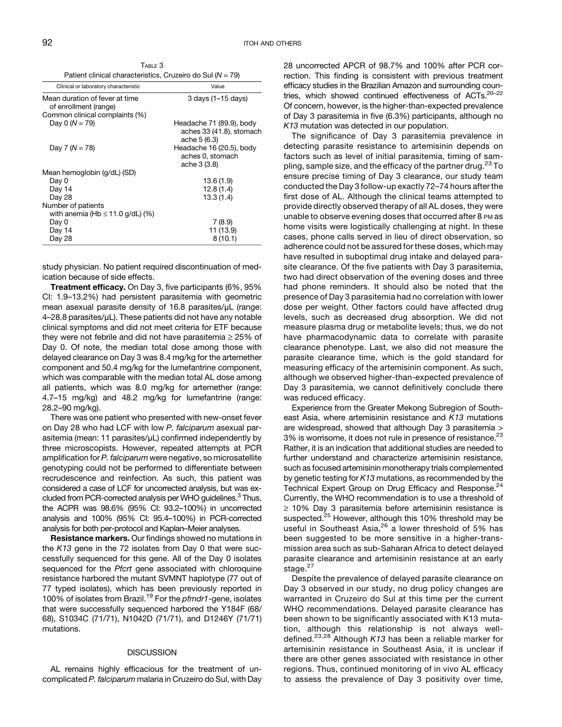<span id="page-4-0"></span>TABLE 3 Patient clinical characteristics, Cruzeiro do Sul ( $N = 79$ )

| Clinical or laboratory characteristic                                                     | Value                                                                |
|-------------------------------------------------------------------------------------------|----------------------------------------------------------------------|
| Mean duration of fever at time<br>of enrollment (range)<br>Common clinical complaints (%) | $3$ days (1-15 days)                                                 |
| Day 0 $(N = 79)$                                                                          | Headache 71 (89.9), body<br>aches 33 (41.8), stomach<br>ache 5 (6.3) |
| Day 7 $(N = 78)$                                                                          | Headache 16 (20.5), body<br>aches 0, stomach<br>ache 3 (3.8)         |
| Mean hemoglobin (g/dL) (SD)                                                               |                                                                      |
| Day 0                                                                                     | 13.6(1.9)                                                            |
| Day 14                                                                                    | 12.8(1.4)                                                            |
| Day 28                                                                                    | 13.3(1.4)                                                            |
| Number of patients                                                                        |                                                                      |
| with anemia (Hb $\leq$ 11.0 g/dL) (%)                                                     |                                                                      |
| Day 0                                                                                     | 7(8.9)                                                               |
| Day 14                                                                                    | 11 (13.9)                                                            |
| Day 28                                                                                    | 8(10.1)                                                              |

study physician. No patient required discontinuation of medication because of side effects.

**Treatment efficacy.** On Day 3, five participants (6%, 95%) CI: 1.9–13.2%) had persistent parasitemia with geometric mean asexual parasite density of 16.8 parasites/μL (range: 4–28.8 parasites/μL). These patients did not have any notable clinical symptoms and did not meet criteria for ETF because they were not febrile and did not have parasitemia  $\geq$  25% of Day 0. Of note, the median total dose among those with delayed clearance on Day 3 was 8.4 mg/kg for the artemether component and 50.4 mg/kg for the lumefantrine component, which was comparable with the median total AL dose among all patients, which was 8.0 mg/kg for artemether (range: 4.7–15 mg/kg) and 48.2 mg/kg for lumefantrine (range: 28.2–90 mg/kg).

There was one patient who presented with new-onset fever on Day 28 who had LCF with low P. falciparum asexual parasitemia (mean: 11 parasites/μL) confirmed independently by three microscopists. However, repeated attempts at PCR amplification for P. falciparum were negative, so microsatellite genotyping could not be performed to differentiate between recrudescence and reinfection. As such, this patient was considered a case of LCF for uncorrected analysis, but was excluded from PCR-corrected analysis per WHO guidelines.<sup>3</sup> Thus, the ACPR was 98.6% (95% CI: 93.2–100%) in uncorrected analysis and 100% (95% CI: 95.4–100%) in PCR-corrected analysis for both per-protocol and Kaplan–Meier analyses.

Resistance markers. Our findings showed no mutations in the K13 gene in the 72 isolates from Day 0 that were successfully sequenced for this gene. All of the Day 0 isolates sequenced for the Pfcrt gene associated with chloroquine resistance harbored the mutant SVMNT haplotype (77 out of 77 typed isolates), which has been previously reported in 100% of isolates from Brazil.<sup>[19](#page-6-0)</sup> For the *pfmdr1*-gene, isolates that were successfully sequenced harbored the Y184F (68/ 68), S1034C (71/71), N1042D (71/71), and D1246Y (71/71) mutations.

## **DISCUSSION**

AL remains highly efficacious for the treatment of uncomplicated P. falciparum malaria in Cruzeiro do Sul, with Day 28 uncorrected APCR of 98.7% and 100% after PCR correction. This finding is consistent with previous treatment efficacy studies in the Brazilian Amazon and surrounding countries, which showed continued effectiveness of ACTs.[20](#page-6-0)–[22](#page-6-0) Of concern, however, is the higher-than-expected prevalence of Day 3 parasitemia in five (6.3%) participants, although no K13 mutation was detected in our population.

The significance of Day 3 parasitemia prevalence in detecting parasite resistance to artemisinin depends on factors such as level of initial parasitemia, timing of sampling, sample size, and the efficacy of the partner drug. $^{23}$  $^{23}$  $^{23}$  To ensure precise timing of Day 3 clearance, our study team conducted the Day 3 follow-up exactly 72–74 hours after the first dose of AL. Although the clinical teams attempted to provide directly observed therapy of all AL doses, they were unable to observe evening doses that occurred after 8 PM as home visits were logistically challenging at night. In these cases, phone calls served in lieu of direct observation, so adherence could not be assured for these doses, which may have resulted in suboptimal drug intake and delayed parasite clearance. Of the five patients with Day 3 parasitemia, two had direct observation of the evening doses and three had phone reminders. It should also be noted that the presence of Day 3 parasitemia had no correlation with lower dose per weight. Other factors could have affected drug levels, such as decreased drug absorption. We did not measure plasma drug or metabolite levels; thus, we do not have pharmacodynamic data to correlate with parasite clearance phenotype. Last, we also did not measure the parasite clearance time, which is the gold standard for measuring efficacy of the artemisinin component. As such, although we observed higher-than-expected prevalence of Day 3 parasitemia, we cannot definitively conclude there was reduced efficacy.

Experience from the Greater Mekong Subregion of Southeast Asia, where artemisinin resistance and K13 mutations are widespread, showed that although Day 3 parasitemia > 3% is worrisome, it does not rule in presence of resistance.<sup>[23](#page-6-0)</sup> Rather, it is an indication that additional studies are needed to further understand and characterize artemisinin resistance, such as focused artemisinin monotherapy trials complemented by genetic testing for  $K13$  mutations, as recommended by the Technical Expert Group on Drug Efficacy and Response.<sup>[24](#page-6-0)</sup> Currently, the WHO recommendation is to use a threshold of  $\geq$  10% Day 3 parasitemia before artemisinin resistance is suspected.<sup>[25](#page-6-0)</sup> However, although this 10% threshold may be useful in Southeast Asia, $2^6$  a lower threshold of 5% has been suggested to be more sensitive in a higher-transmission area such as sub-Saharan Africa to detect delayed parasite clearance and artemisinin resistance at an early stage.<sup>[27](#page-6-0)</sup>

Despite the prevalence of delayed parasite clearance on Day 3 observed in our study, no drug policy changes are warranted in Cruzeiro do Sul at this time per the current WHO recommendations. Delayed parasite clearance has been shown to be significantly associated with K13 mutation, although this relationship is not always well-defined.<sup>[23,28](#page-6-0)</sup> Although K13 has been a reliable marker for artemisinin resistance in Southeast Asia, it is unclear if there are other genes associated with resistance in other regions. Thus, continued monitoring of in vivo AL efficacy to assess the prevalence of Day 3 positivity over time,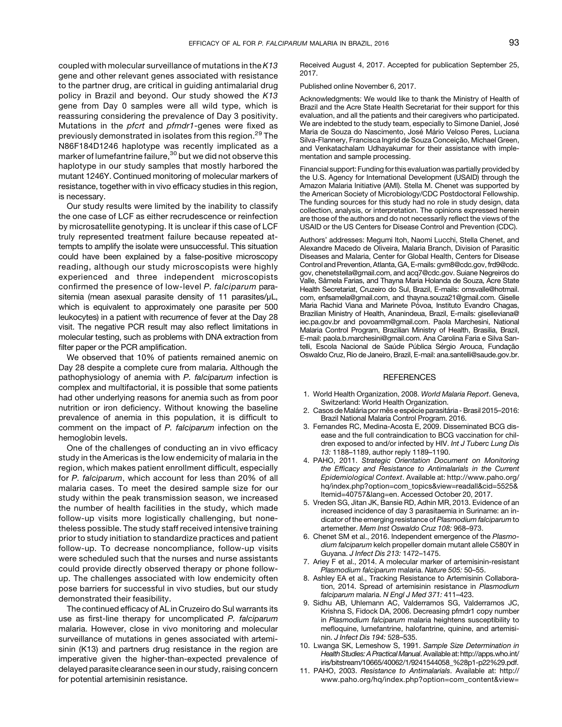<span id="page-5-0"></span>coupled with molecular surveillance of mutations in the K13 gene and other relevant genes associated with resistance to the partner drug, are critical in guiding antimalarial drug policy in Brazil and beyond. Our study showed the K13 gene from Day 0 samples were all wild type, which is reassuring considering the prevalence of Day 3 positivity. Mutations in the pfcrt and pfmdr1-genes were fixed as previously demonstrated in isolates from this region.<sup>[29](#page-6-0)</sup> The N86F184D1246 haplotype was recently implicated as a marker of lumefantrine failure,<sup>[30](#page-6-0)</sup> but we did not observe this haplotype in our study samples that mostly harbored the mutant 1246Y. Continued monitoring of molecular markers of resistance, together with in vivo efficacy studies in this region, is necessary.

Our study results were limited by the inability to classify the one case of LCF as either recrudescence or reinfection by microsatellite genotyping. It is unclear if this case of LCF truly represented treatment failure because repeated attempts to amplify the isolate were unsuccessful. This situation could have been explained by a false-positive microscopy reading, although our study microscopists were highly experienced and three independent microscopists confirmed the presence of low-level P. falciparum parasitemia (mean asexual parasite density of 11 parasites/μL, which is equivalent to approximately one parasite per 500 leukocytes) in a patient with recurrence of fever at the Day 28 visit. The negative PCR result may also reflect limitations in molecular testing, such as problems with DNA extraction from filter paper or the PCR amplification.

We observed that 10% of patients remained anemic on Day 28 despite a complete cure from malaria. Although the pathophysiology of anemia with P. falciparum infection is complex and multifactorial, it is possible that some patients had other underlying reasons for anemia such as from poor nutrition or iron deficiency. Without knowing the baseline prevalence of anemia in this population, it is difficult to comment on the impact of P. falciparum infection on the hemoglobin levels.

One of the challenges of conducting an in vivo efficacy study in the Americas is the low endemicity of malaria in the region, which makes patient enrollment difficult, especially for P. falciparum, which account for less than 20% of all malaria cases. To meet the desired sample size for our study within the peak transmission season, we increased the number of health facilities in the study, which made follow-up visits more logistically challenging, but nonetheless possible. The study staff received intensive training prior to study initiation to standardize practices and patient follow-up. To decrease noncompliance, follow-up visits were scheduled such that the nurses and nurse assistants could provide directly observed therapy or phone followup. The challenges associated with low endemicity often pose barriers for successful in vivo studies, but our study demonstrated their feasibility.

The continued efficacy of AL in Cruzeiro do Sul warrants its use as first-line therapy for uncomplicated P. falciparum malaria. However, close in vivo monitoring and molecular surveillance of mutations in genes associated with artemisinin (K13) and partners drug resistance in the region are imperative given the higher-than-expected prevalence of delayed parasite clearance seen in our study, raising concern for potential artemisinin resistance.

Received August 4, 2017. Accepted for publication September 25, 2017.

Published online November 6, 2017.

Acknowledgments: We would like to thank the Ministry of Health of Brazil and the Acre State Health Secretariat for their support for this evaluation, and all the patients and their caregivers who participated. We are indebted to the study team, especially to Simone Daniel, José Maria de Souza do Nascimento, José Mário Veloso Peres, Luciana Silva-Flannery, Francisca Ingrid de Souza Conceição, Michael Green, and Venkatachalam Udhayakumar for their assistance with implementation and sample processing.

Financial support: Funding for this evaluation was partially provided by the U.S. Agency for International Development (USAID) through the Amazon Malaria Initiative (AMI). Stella M. Chenet was supported by the American Society of Microbiology/CDC Postdoctoral Fellowship. The funding sources for this study had no role in study design, data collection, analysis, or interpretation. The opinions expressed herein are those of the authors and do not necessarily reflect the views of the USAID or the US Centers for Disease Control and Prevention (CDC).

Authors' addresses: Megumi Itoh, Naomi Lucchi, Stella Chenet, and Alexandre Macedo de Oliveira, Malaria Branch, Division of Parasitic Diseases and Malaria, Center for Global Health, Centers for Disease Control and Prevention, Atlanta, GA, E-mails: [gvm8@cdc.gov](mailto:gvm8@cdc.gov), [frd9@cdc.](mailto:frd9@cdc.gov) [gov](mailto:frd9@cdc.gov), [chenetstella@gmail.com,](mailto:chenetstella@gmail.com) and [acq7@cdc.gov.](mailto:acq7@cdc.gov) Suiane Negreiros do Valle, Samela Farias, and Thayna Maria Holanda de Souza, Acre State ˆ Health Secretariat, Cruzeiro do Sul, Brazil, E-mails: [omsvalle@hotmail.](mailto:omsvalle@hotmail.com) [com,](mailto:omsvalle@hotmail.com) [enfsamela@gmail.com,](mailto:enfsamela@gmail.com) and [thayna.souza21@gmail.com](mailto:thayna.souza21@gmail.com). Giselle Maria Rachid Viana and Marinete Póvoa, Instituto Evandro Chagas, Brazilian Ministry of Health, Ananindeua, Brazil, E-mails: [giselleviana@](mailto:giselleviana@iec.pa.gov.br) [iec.pa.gov.br](mailto:giselleviana@iec.pa.gov.br) and [povoamm@gmail.com.](mailto:povoamm@gmail.com) Paola Marchesini, National Malaria Control Program, Brazilian Ministry of Health, Brasilia, Brazil, E-mail: [paola.b.marchesini@gmail.com](mailto:paola.b.marchesini@gmail.com). Ana Carolina Faria e Silva Santelli, Escola Nacional de Saúde Pública Sérgio Arouca, Fundação Oswaldo Cruz, Rio de Janeiro, Brazil, E-mail: [ana.santelli@saude.gov.br.](mailto:ana.santelli@saude.gov.br)

## **REFERENCES**

- 1. World Health Organization, 2008. World Malaria Report. Geneva, Switzerland: World Health Organization.
- 2. Casos de Malária por mês e espécie parasitária Brasil 2015–2016: Brazil National Malaria Control Program. 2016.
- 3. Fernandes RC, Medina-Acosta E, 2009. Disseminated BCG disease and the full contraindication to BCG vaccination for children exposed to and/or infected by HIV. Int J Tuberc Lung Dis 13: 1188–1189, author reply 1189–1190.
- 4. PAHO, 2011. Strategic Orientation Document on Monitoring the Efficacy and Resistance to Antimalarials in the Current Epidemiological Context. Available at: [http://www.paho.org/](http://www.paho.org/hq/index.php?option&tnqh_x003D;com_topics&tnqh_x0026;view&tnqh_x003D;readall&tnqh_x0026;cid&tnqh_x003D;5525&tnqh_x0026;Itemid&tnqh_x003D;40757&tnqh_x0026;lang&tnqh_x003D;en) [hq/index.php?option=com\\_topics&view=readall&cid=5525&](http://www.paho.org/hq/index.php?option&tnqh_x003D;com_topics&tnqh_x0026;view&tnqh_x003D;readall&tnqh_x0026;cid&tnqh_x003D;5525&tnqh_x0026;Itemid&tnqh_x003D;40757&tnqh_x0026;lang&tnqh_x003D;en) [Itemid=40757&lang=en.](http://www.paho.org/hq/index.php?option&tnqh_x003D;com_topics&tnqh_x0026;view&tnqh_x003D;readall&tnqh_x0026;cid&tnqh_x003D;5525&tnqh_x0026;Itemid&tnqh_x003D;40757&tnqh_x0026;lang&tnqh_x003D;en) Accessed October 20, 2017.
- 5. Vreden SG, Jitan JK, Bansie RD, Adhin MR, 2013. Evidence of an increased incidence of day 3 parasitaemia in Suriname: an indicator of the emerging resistance of Plasmodium falciparum to artemether. Mem Inst Oswaldo Cruz 108: 968–973.
- 6. Chenet SM et al., 2016. Independent emergence of the Plasmodium falciparum kelch propeller domain mutant allele C580Y in Guyana. J Infect Dis 213: 1472–1475.
- 7. Ariey F et al., 2014. A molecular marker of artemisinin-resistant Plasmodium falciparum malaria. Nature 505: 50–55.
- 8. Ashley EA et al., Tracking Resistance to Artemisinin Collaboration, 2014. Spread of artemisinin resistance in Plasmodium falciparum malaria. N Engl J Med 371: 411–423.
- 9. Sidhu AB, Uhlemann AC, Valderramos SG, Valderramos JC, Krishna S, Fidock DA, 2006. Decreasing pfmdr1 copy number in Plasmodium falciparum malaria heightens susceptibility to mefloquine, lumefantrine, halofantrine, quinine, and artemisinin. J Infect Dis 194: 528–535.
- 10. Lwanga SK, Lemeshow S, 1991. Sample Size Determination in Health Studies: A Practical Manual. Available at: [http://apps.who.int/](http://apps.who.int/iris/bitstream/10665/40062/1/9241544058_%28p1-p22%29.pdf) [iris/bitstream/10665/40062/1/9241544058\\_%28p1-p22%29.pdf](http://apps.who.int/iris/bitstream/10665/40062/1/9241544058_%28p1-p22%29.pdf).
- 11. PAHO, 2003. Resistance to Antimalarials. Available at: [http://](http://www.paho.org/hq/index.php?option&tnqh_x003D;com_content&tnqh_x0026;view&tnqh_x003D;article&tnqh_x0026;id&tnqh_x003D;2405%3Aresistance-antimalarials&tnqh_x0026;catid&tnqh_x003D;1233%3Amalaria-program&tnqh_x0026;Itemid&tnqh_x003D;1912&tnqh_x0026;lang&tnqh_x003D;en) [www.paho.org/hq/index.php?option=com\\_content&view=](http://www.paho.org/hq/index.php?option&tnqh_x003D;com_content&tnqh_x0026;view&tnqh_x003D;article&tnqh_x0026;id&tnqh_x003D;2405%3Aresistance-antimalarials&tnqh_x0026;catid&tnqh_x003D;1233%3Amalaria-program&tnqh_x0026;Itemid&tnqh_x003D;1912&tnqh_x0026;lang&tnqh_x003D;en)